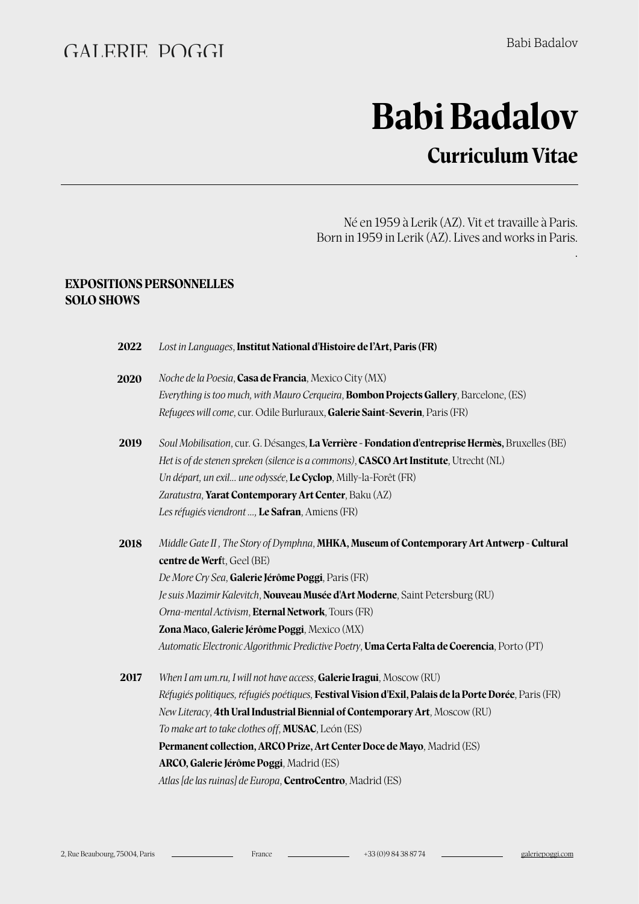.

# **Babi Badalov**

## **Curriculum Vitae**

Né en 1959 à Lerik (AZ). Vit et travaille à Paris. Born in 1959 in Lerik (AZ). Lives and works in Paris.

#### **EXPOSITIONS PERSONNELLES SOLO SHOWS**

| 2022 | Lost in Languages, Institut National d'Histoire de l'Art, Paris (FR)                                  |
|------|-------------------------------------------------------------------------------------------------------|
| 2020 | Noche de la Poesia, Casa de Francia, Mexico City (MX)                                                 |
|      | Everything is too much, with Mauro Cerqueira, <b>Bombon Projects Gallery</b> , Barcelone, (ES)        |
|      | Refugees will come, cur. Odile Burluraux, Galerie Saint-Severin, Paris (FR)                           |
| 2019 | Soul Mobilisation, cur. G. Désanges, La Verrière - Fondation d'entreprise Hermès, Bruxelles (BE)      |
|      | Het is of de stenen spreken (silence is a commons), CASCO Art Institute, Utrecht (NL)                 |
|      | Un départ, un exil une odyssée, Le Cyclop, Milly-la-Forêt (FR)                                        |
|      | Zaratustra, Yarat Contemporary Art Center, Baku (AZ)                                                  |
|      | Les réfugiés viendront , Le Safran, Amiens (FR)                                                       |
| 2018 | Middle Gate II, The Story of Dymphna, MHKA, Museum of Contemporary Art Antwerp - Cultural             |
|      | centre de Werft, Geel (BE)                                                                            |
|      | De More Cry Sea, Galerie Jérôme Poggi, Paris (FR)                                                     |
|      | Je suis Mazimir Kalevitch, Nouveau Musée d'Art Moderne, Saint Petersburg (RU)                         |
|      | Orna-mental Activism, Eternal Network, Tours (FR)                                                     |
|      | Zona Maco, Galerie Jérôme Poggi, Mexico (MX)                                                          |
|      | Automatic Electronic Algorithmic Predictive Poetry, Uma Certa Falta de Coerencia, Porto (PT)          |
| 2017 | When I am um.ru, I will not have access, Galerie Iragui, Moscow (RU)                                  |
|      | Réfugiés politiques, réfugiés poétiques, Festival Vision d'Exil, Palais de la Porte Dorée, Paris (FR) |
|      | New Literacy, 4th Ural Industrial Biennial of Contemporary Art, Moscow (RU)                           |
|      | To make art to take clothes off, <b>MUSAC</b> , León (ES)                                             |
|      | Permanent collection, ARCO Prize, Art Center Doce de Mayo, Madrid (ES)                                |
|      | ARCO, Galerie Jérôme Poggi, Madrid (ES)                                                               |
|      | Atlas [de las ruinas] de Europa, <b>CentroCentro</b> , Madrid (ES)                                    |
|      |                                                                                                       |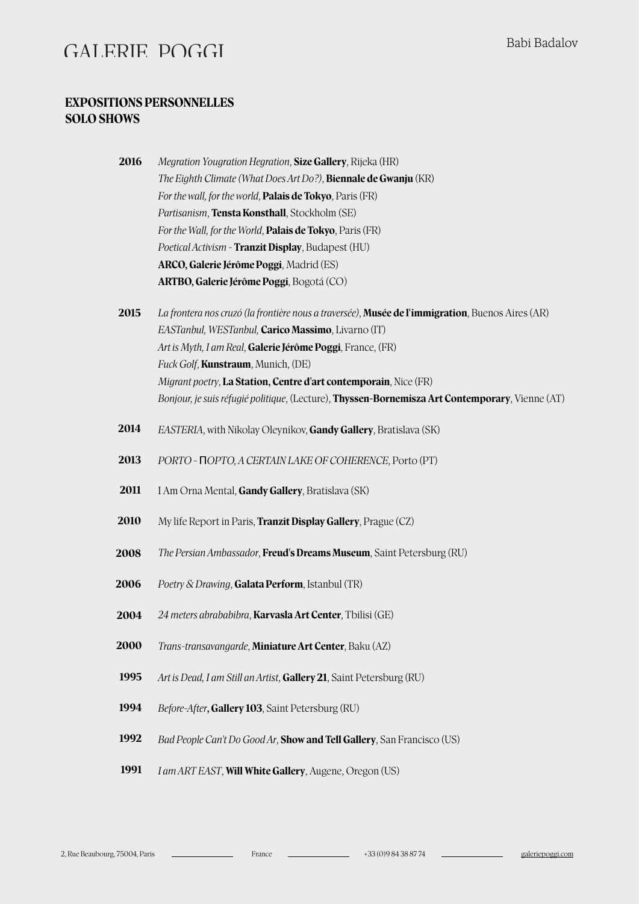#### **EXPOSITIONS PERSONNELLES SOLO SHOWS**

| 2016 | Megration Yougration Hegration, Size Gallery, Rijeka (HR)              |
|------|------------------------------------------------------------------------|
|      | The Eighth Climate (What Does Art Do?), <b>Biennale de Gwanju</b> (KR) |
|      | For the wall, for the world, <b>Palais de Tokyo</b> , Paris (FR)       |
|      | <i>Partisanism</i> , <b>Tensta Konsthall</b> , Stockholm (SE)          |
|      | For the Wall, for the World, Palais de Tokyo, Paris (FR)               |
|      | Poetical Activism - Tranzit Display, Budapest (HU)                     |
|      | ARCO, Galerie Jérôme Poggi, Madrid (ES)                                |
|      | ARTBO, Galerie Jérôme Poggi, Bogotá (CO)                               |

- **2015** *La frontera nos cruzó (la frontière nous a traversée)*, **Musée de l'immigration**, Buenos Aires (AR) *EASTanbul, WESTanbul,* **Carico Massimo**, Livarno (IT) *Art is Myth, I am Real*, **Galerie Jérôme Poggi**, France, (FR) *Fuck Golf*, **Kunstraum**, Munich, (DE) *Migrant poetry*, **La Station, Centre d'art contemporain**, Nice (FR) *Bonjour, je suis réfugié politique*, (Lecture), **Thyssen-Bornemisza Art Contemporary**, Vienne (AT)
- **2014** *EASTERIA*, with Nikolay Oleynikov, **Gandy Gallery**, Bratislava (SK)
- **2013** *PORTO -* П*OPTO, A CERTAIN LAKE OF COHERENCE*, Porto (PT)
- **2011** I Am Orna Mental, **Gandy Gallery**, Bratislava (SK)
- **2010** My life Report in Paris, **Tranzit Display Gallery**, Prague (CZ)
- **2008** *The Persian Ambassador*, **Freud's Dreams Museum**, Saint Petersburg (RU)
- **2006** *Poetry & Drawing*, **Galata Perform**, Istanbul (TR)
- *24 meters abrababibra*, **Karvasla Art Center**, Tbilisi (GE) **2004**
- *Trans-transavangarde*, **Miniature Art Center**, Baku (AZ) **2000**
- *Art is Dead, I am Still an Artist*, **Gallery 21**, Saint Petersburg (RU) **1995**
- *Before-After***, Gallery 103**, Saint Petersburg (RU) **1994**
- *Bad People Can't Do Good Ar*, **Show and Tell Gallery**, San Francisco (US) **1992**
- *I am ART EAST*, **Will White Gallery**, Augene, Oregon (US) **1991**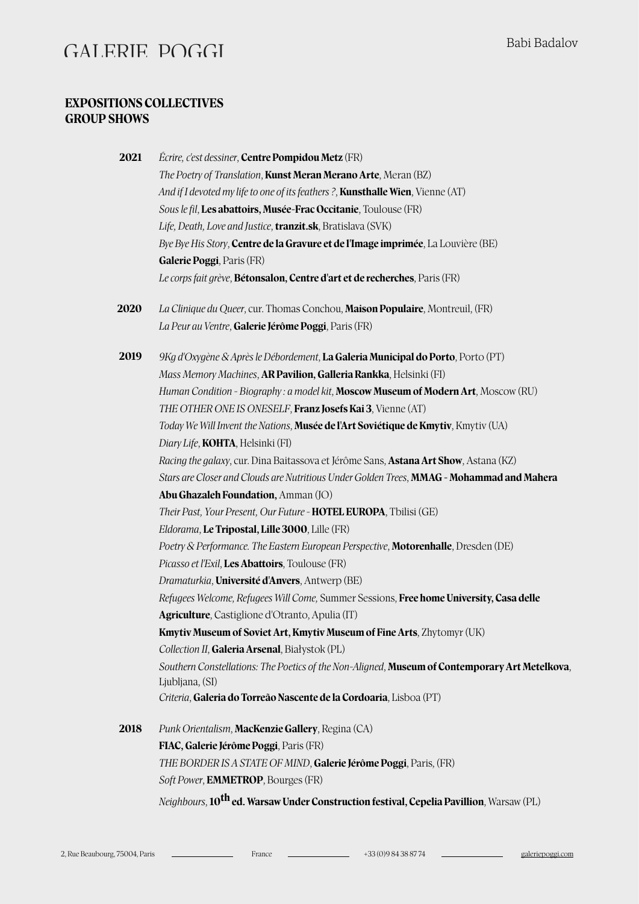#### **EXPOSITIONS COLLECTIVES GROUP SHOWS**

| 2021 | Écrire, c'est dessiner, <b>Centre Pompidou Metz</b> (FR)                                            |
|------|-----------------------------------------------------------------------------------------------------|
|      | The Poetry of Translation, Kunst Meran Merano Arte, Meran (BZ)                                      |
|      | And if I devoted my life to one of its feathers ?, <b>Kunsthalle Wien</b> , Vienne (AT)             |
|      | Sous le fil, Les abattoirs, Musée-Frac Occitanie, Toulouse (FR)                                     |
|      | Life, Death, Love and Justice, tranzit.sk, Bratislava (SVK)                                         |
|      | Bye Bye His Story, Centre de la Gravure et de l'Image imprimée, La Louvière (BE)                    |
|      | Galerie Poggi, Paris (FR)                                                                           |
|      | Le corps fait grève, Bétonsalon, Centre d'art et de recherches, Paris (FR)                          |
| 2020 | La Clinique du Queer, cur. Thomas Conchou, Maison Populaire, Montreuil, (FR)                        |
|      | La Peur au Ventre, Galerie Jérôme Poggi, Paris (FR)                                                 |
| 2019 | 9Kg d'Oxygène & Après le Débordement, La Galeria Municipal do Porto, Porto (PT)                     |
|      | Mass Memory Machines, AR Pavilion, Galleria Rankka, Helsinki (FI)                                   |
|      | Human Condition - Biography : a model kit, Moscow Museum of Modern Art, Moscow (RU)                 |
|      | THE OTHER ONE IS ONESELF, Franz Josefs Kai 3, Vienne (AT)                                           |
|      | Today We Will Invent the Nations, Musée de l'Art Soviétique de Kmytiv, Kmytiv (UA)                  |
|      | Diary Life, <b>KOHTA</b> , Helsinki (FI)                                                            |
|      | Racing the galaxy, cur. Dina Baitassova et Jérôme Sans, <b>Astana Art Show</b> , Astana (KZ)        |
|      | Stars are Closer and Clouds are Nutritious Under Golden Trees, MMAG - Mohammad and Mahera           |
|      | <b>Abu Ghazaleh Foundation, Amman (JO)</b>                                                          |
|      | Their Past, Your Present, Our Future - HOTEL EUROPA, Tbilisi (GE)                                   |
|      | Eldorama, Le Tripostal, Lille 3000, Lille (FR)                                                      |
|      | Poetry & Performance. The Eastern European Perspective, Motorenhalle, Dresden (DE)                  |
|      | Picasso et l'Exil, Les Abattoirs, Toulouse (FR)                                                     |
|      | Dramaturkia, Université d'Anvers, Antwerp (BE)                                                      |
|      | Refugees Welcome, Refugees Will Come, Summer Sessions, Free home University, Casa delle             |
|      | Agriculture, Castiglione d'Otranto, Apulia (IT)                                                     |
|      | <b>Kmytiv Museum of Soviet Art, Kmytiv Museum of Fine Arts, Zhytomyr (UK)</b>                       |
|      | Collection II, Galeria Arsenal, Białystok (PL)                                                      |
|      | Southern Constellations: The Poetics of the Non-Aligned, Museum of Contemporary Art Metelkova,      |
|      | Ljubljana, (SI)                                                                                     |
|      | Criteria, Galeria do Torreão Nascente de la Cordoaria, Lisboa (PT)                                  |
| 2018 | Punk Orientalism, MacKenzie Gallery, Regina (CA)                                                    |
|      | FIAC, Galerie Jérôme Poggi, Paris (FR)                                                              |
|      | THE BORDER IS A STATE OF MIND, Galerie Jérôme Poggi, Paris, (FR)                                    |
|      | Soft Power, EMMETROP, Bourges (FR)                                                                  |
|      | Neighbours, 10 <sup>th</sup> ed. Warsaw Under Construction festival, Cepelia Pavillion, Warsaw (PL) |

2, Rue Beaubourg, 75004, Paris France +33 (0)9 84 38 87 74 [galeriepoggi.com](http://galeriepoggi.com)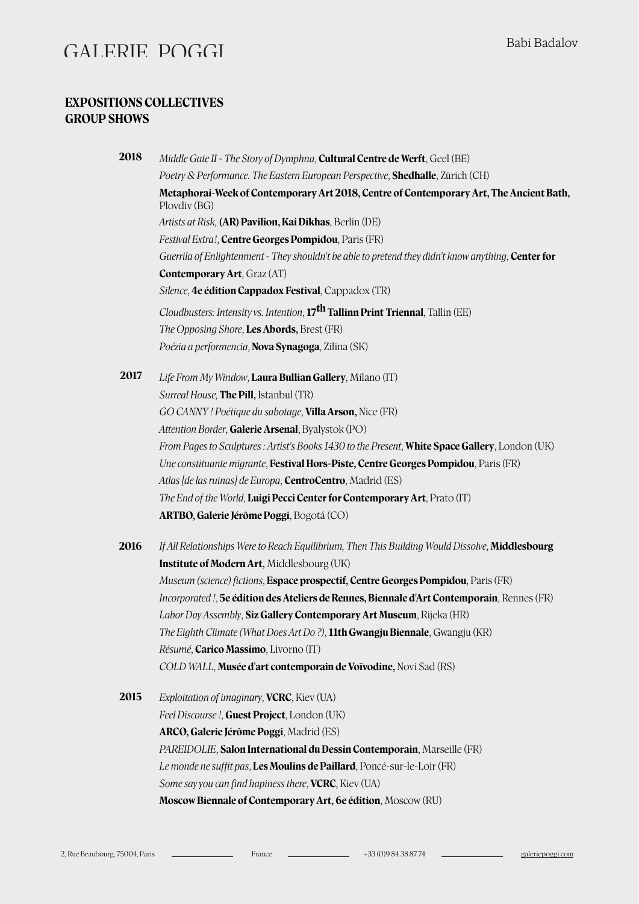#### **EXPOSITIONS COLLECTIVES GROUP SHOWS**

| 2018 | Middle Gate II - The Story of Dymphna, Cultural Centre de Werft, Geel (BE)                                 |
|------|------------------------------------------------------------------------------------------------------------|
|      | Poetry & Performance. The Eastern European Perspective, Shedhalle, Zürich (CH)                             |
|      | Metaphorai-Week of Contemporary Art 2018, Centre of Contemporary Art, The Ancient Bath,<br>Plovdiv (BG)    |
|      | Artists at Risk, (AR) Pavilion, Kai Dikhas, Berlin (DE)                                                    |
|      | Festival Extra!, Centre Georges Pompidou, Paris (FR)                                                       |
|      | Guerrila of Enlightenment - They shouldn't be able to pretend they didn't know anything, <b>Center for</b> |
|      | <b>Contemporary Art, Graz (AT)</b>                                                                         |
|      | Silence, 4e édition Cappadox Festival, Cappadox (TR)                                                       |
|      | Cloudbusters: Intensity vs. Intention, 17 <sup>th</sup> Tallinn Print Triennal, Tallin (EE)                |
|      | The Opposing Shore, Les Abords, Brest (FR)                                                                 |
|      | Poézia a performencia, Nova Synagoga, Zilina (SK)                                                          |
| 2017 | Life From My Window, Laura Bullian Gallery, Milano (IT)                                                    |
|      | Surreal House, The Pill, Istanbul (TR)                                                                     |
|      | GO CANNY ! Poétique du sabotage, Villa Arson, Nice (FR)                                                    |
|      | Attention Border, Galerie Arsenal, Byalystok (PO)                                                          |
|      | From Pages to Sculptures : Artist's Books 1430 to the Present, White Space Gallery, London (UK)            |
|      | Une constituante migrante, Festival Hors-Piste, Centre Georges Pompidou, Paris (FR)                        |
|      | Atlas [de las ruinas] de Europa, <b>CentroCentro</b> , Madrid (ES)                                         |
|      | The End of the World, Luigi Pecci Center for Contemporary Art, Prato (IT)                                  |
|      | ARTBO, Galerie Jérôme Poggi, Bogotá (CO)                                                                   |
| 2016 | If All Relationships Were to Reach Equilibrium, Then This Building Would Dissolve, Middlesbourg            |
|      | <b>Institute of Modern Art, Middlesbourg (UK)</b>                                                          |
|      | Museum (science) fictions, Espace prospectif, Centre Georges Pompidou, Paris (FR)                          |
|      | Incorporated !, 5e édition des Ateliers de Rennes, Biennale d'Art Contemporain, Rennes (FR)                |
|      | Labor Day Assembly, Siz Gallery Contemporary Art Museum, Rijeka (HR)                                       |
|      | The Eighth Climate (What Does Art Do?), 11th Gwangju Biennale, Gwangju (KR)                                |
|      | Résumé, Carico Massimo, Livorno (IT)                                                                       |
|      | COLD WALL, Musée d'art contemporain de Voïvodine, Novi Sad (RS)                                            |
| 2015 | Exploitation of imaginary, VCRC, Kiev (UA)                                                                 |
|      | Feel Discourse !, Guest Project, London (UK)                                                               |
|      | ARCO, Galerie Jérôme Poggi, Madrid (ES)                                                                    |
|      | PAREIDOLIE, Salon International du Dessin Contemporain, Marseille (FR)                                     |
|      | Le monde ne suffit pas, Les Moulins de Paillard, Poncé-sur-le-Loir (FR)                                    |
|      | Some say you can find hapiness there, VCRC, Kiev (UA)                                                      |
|      | Moscow Biennale of Contemporary Art, 6e édition, Moscow (RU)                                               |
|      |                                                                                                            |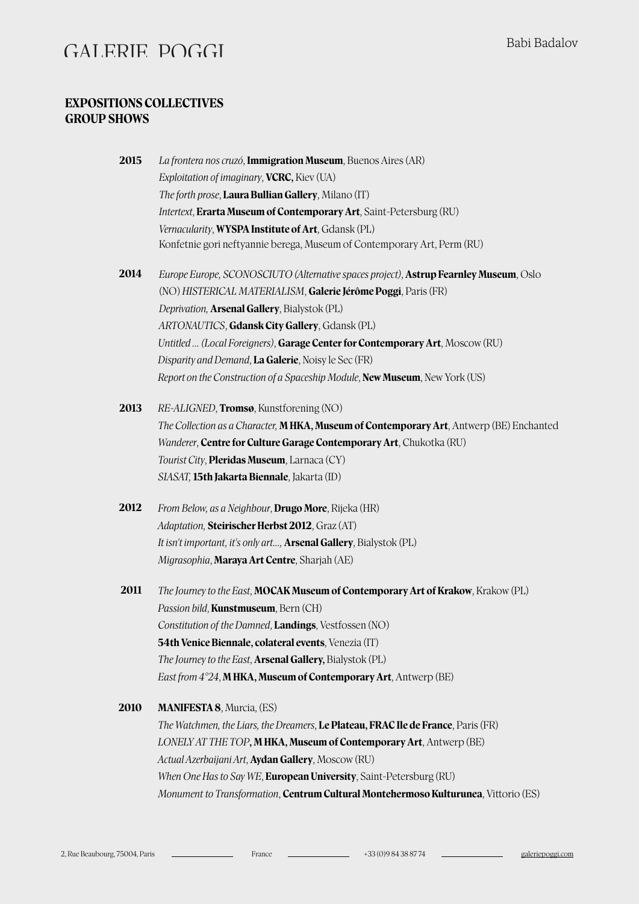#### **EXPOSITIONS COLLECTIVES GROUP SHOWS**

| 2015        | La frontera nos cruzó, Immigration Museum, Buenos Aires (AR)                             |
|-------------|------------------------------------------------------------------------------------------|
|             | Exploitation of imaginary, VCRC, Kiev (UA)                                               |
|             | The forth prose, Laura Bullian Gallery, Milano (IT)                                      |
|             | Intertext, Erarta Museum of Contemporary Art, Saint-Petersburg (RU)                      |
|             | Vernacularity, WYSPA Institute of Art, Gdansk (PL)                                       |
|             | Konfetnie gori neftyannie berega, Museum of Contemporary Art, Perm (RU)                  |
| 2014        | Europe Europe, SCONOSCIUTO (Alternative spaces project), Astrup Fearnley Museum, Oslo    |
|             | (NO) HISTERICAL MATERIALISM, Galerie Jérôme Poggi, Paris (FR)                            |
|             | Deprivation, Arsenal Gallery, Bialystok (PL)                                             |
|             | ARTONAUTICS, Gdansk City Gallery, Gdansk (PL)                                            |
|             | Untitled  (Local Foreigners), Garage Center for Contemporary Art, Moscow (RU)            |
|             | Disparity and Demand, La Galerie, Noisy le Sec (FR)                                      |
|             | Report on the Construction of a Spaceship Module, New Museum, New York (US)              |
| 2013        | RE-ALIGNED, Tromsø, Kunstforening (NO)                                                   |
|             | The Collection as a Character, M HKA, Museum of Contemporary Art, Antwerp (BE) Enchanted |
|             | Wanderer, Centre for Culture Garage Contemporary Art, Chukotka (RU)                      |
|             | Tourist City, Pleridas Museum, Larnaca (CY)                                              |
|             | SIASAT, 15th Jakarta Biennale, Jakarta (ID)                                              |
| 2012        | From Below, as a Neighbour, Drugo More, Rijeka (HR)                                      |
|             | Adaptation, Steirischer Herbst 2012, Graz (AT)                                           |
|             | It isn't important, it's only art, <b>Arsenal Gallery</b> , Bialystok (PL)               |
|             | Migrasophia, Maraya Art Centre, Sharjah (AE)                                             |
| 2011        | The Journey to the East, MOCAK Museum of Contemporary Art of Krakow, Krakow (PL)         |
|             | Passion bild, Kunstmuseum, Bern (CH)                                                     |
|             | Constitution of the Damned, Landings, Vestfossen (NO)                                    |
|             | 54th Venice Biennale, colateral events, Venezia (IT)                                     |
|             | The Journey to the East, Arsenal Gallery, Bialystok (PL)                                 |
|             | East from 4°24, M HKA, Museum of Contemporary Art, Antwerp (BE)                          |
| <b>2010</b> | <b>MANIFESTA 8, Murcia, (ES)</b>                                                         |
|             | The Watchmen, the Liars, the Dreamers, Le Plateau, FRAC Ile de France, Paris (FR)        |
|             | LONELY AT THE TOP, M HKA, Museum of Contemporary Art, Antwerp (BE)                       |

*When One Has to Say WE*, **European University**, Saint-Petersburg (RU) *Monument to Transformation*, **Centrum Cultural Montehermoso Kulturunea**, Vitorio (ES)

*Actual Azerbaijani Art*, **Aydan Gallery**, Moscow (RU)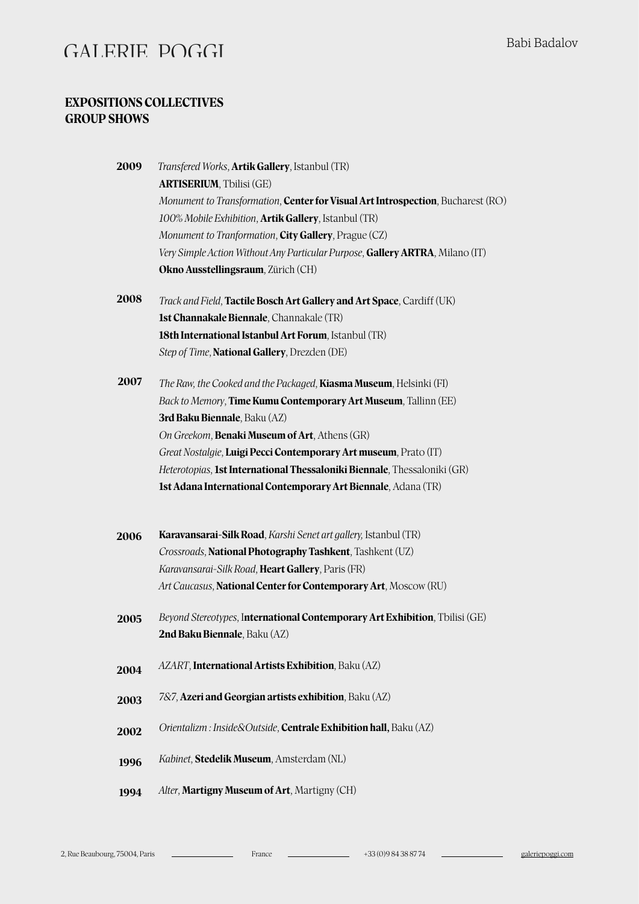#### **EXPOSITIONS COLLECTIVES GROUP SHOWS**

| 2009 | <i>Transfered Works</i> , <b>Artik Gallery</b> , Istanbul (TR)                  |
|------|---------------------------------------------------------------------------------|
|      | <b>ARTISERIUM, Tbilisi (GE)</b>                                                 |
|      | Monument to Transformation, Center for Visual Art Introspection, Bucharest (RO) |
|      | 100% Mobile Exhibition, Artik Gallery, Istanbul (TR)                            |
|      | Monument to Tranformation, City Gallery, Prague (CZ)                            |
|      | Very Simple Action Without Any Particular Purpose, Gallery ARTRA, Milano (IT)   |
|      | Okno Ausstellingsraum, Zürich (CH)                                              |
| 2008 | Track and Field, Tactile Bosch Art Gallery and Art Space, Cardiff (UK)          |
|      | 1st Channakale Biennale, Channakale (TR)                                        |
|      | 18th International Istanbul Art Forum, Istanbul (TR)                            |
|      | Step of Time, National Gallery, Drezden (DE)                                    |
| 2007 | The Raw, the Cooked and the Packaged, Kiasma Museum, Helsinki (FI)              |
|      | Back to Memory, Time Kumu Contemporary Art Museum, Tallinn (EE)                 |
|      | <b>3rd Baku Biennale</b> , Baku (AZ)                                            |
|      | On Greekom, Benaki Museum of Art, Athens (GR)                                   |
|      | Great Nostalgie, Luigi Pecci Contemporary Art museum, Prato (IT)                |
|      | Heterotopias, 1st International Thessaloniki Biennale, Thessaloniki (GR)        |
|      | 1st Adana International Contemporary Art Biennale, Adana (TR)                   |
| 2006 | Karavansarai-Silk Road, Karshi Senet art gallery, Istanbul (TR)                 |
|      | Crossroads, National Photography Tashkent, Tashkent (UZ)                        |
|      | Karavansarai-Silk Road, Heart Gallery, Paris (FR)                               |
|      | Art Caucasus, National Center for Contemporary Art, Moscow (RU)                 |
| 2005 | Beyond Stereotypes, International Contemporary Art Exhibition, Tbilisi (GE)     |
|      | 2nd Baku Biennale, Baku (AZ)                                                    |
| 2004 | AZART, International Artists Exhibition, Baku (AZ)                              |
| 2003 | 7&7, Azeri and Georgian artists exhibition, Baku (AZ)                           |
| 2002 | Orientalizm: Inside&Outside, Centrale Exhibition hall, Baku (AZ)                |
| 1996 | Kabinet, Stedelik Museum, Amsterdam (NL)                                        |
| 1994 | Alter, Martigny Museum of Art, Martigny (CH)                                    |
|      |                                                                                 |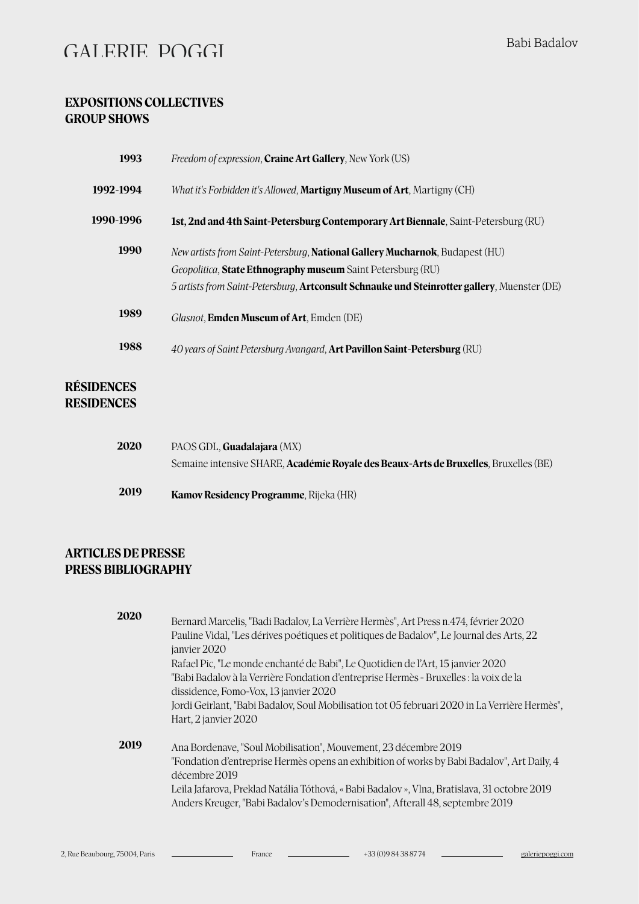#### **EXPOSITIONS COLLECTIVES GROUP SHOWS**

| 1993                                   | <i>Freedom of expression, Craine Art Gallery, New York (US)</i>                                                                                                                                                                                    |
|----------------------------------------|----------------------------------------------------------------------------------------------------------------------------------------------------------------------------------------------------------------------------------------------------|
| 1992-1994                              | What it's Forbidden it's Allowed, <b>Martigny Museum of Art</b> , Martigny (CH)                                                                                                                                                                    |
| 1990-1996                              | 1st, 2nd and 4th Saint-Petersburg Contemporary Art Biennale, Saint-Petersburg (RU)                                                                                                                                                                 |
| 1990                                   | New artists from Saint-Petersburg, National Gallery Mucharnok, Budapest (HU)<br>Geopolitica, State Ethnography museum Saint Petersburg (RU)<br>5 artists from Saint-Petersburg, <b>Artconsult Schnauke und Steinrotter gallery</b> , Muenster (DE) |
| 1989                                   | Glasnot, <b>Emden Museum of Art</b> , Emden (DE)                                                                                                                                                                                                   |
| 1988                                   | 40 years of Saint Petersburg Avangard, Art Pavillon Saint-Petersburg (RU)                                                                                                                                                                          |
| <b>RÉSIDENCES</b><br><b>RESIDENCES</b> |                                                                                                                                                                                                                                                    |

| 2020 | PAOS GDL. <b>Guadalaiara</b> (MX)                                                            |
|------|----------------------------------------------------------------------------------------------|
|      | Semaine intensive SHARE, <b>Académie Royale des Beaux-Arts de Bruxelles</b> , Bruxelles (BE) |
| 2019 | <b>Kamov Residency Programme</b> , Rijeka (HR)                                               |

#### **ARTICLES DE PRESSE PRESS BIBLIOGRAPHY**

| 2020 | Bernard Marcelis, "Badi Badalov, La Verrière Hermès", Art Press n.474, février 2020<br>Pauline Vidal, "Les dérives poétiques et politiques de Badalov", Le Journal des Arts, 22<br>janvier 2020<br>Rafael Pic, "Le monde enchanté de Babi", Le Quotidien de l'Art, 15 janvier 2020<br>"Babi Badalov à la Verrière Fondation d'entreprise Hermès - Bruxelles : la voix de la<br>dissidence, Fomo-Vox, 13 janvier 2020<br>Jordi Geirlant, "Babi Badalov, Soul Mobilisation tot 05 februari 2020 in La Verrière Hermès",<br>Hart, 2 janvier 2020 |
|------|-----------------------------------------------------------------------------------------------------------------------------------------------------------------------------------------------------------------------------------------------------------------------------------------------------------------------------------------------------------------------------------------------------------------------------------------------------------------------------------------------------------------------------------------------|
| 2019 | Ana Bordenave, "Soul Mobilisation", Mouvement, 23 décembre 2019<br>"Fondation d'entreprise Hermès opens an exhibition of works by Babi Badalov", Art Daily, 4<br>décembre 2019<br>Leïla Jafarova, Preklad Natália Tóthová, « Babi Badalov », Vlna, Bratislava, 31 octobre 2019<br>Anders Kreuger, "Babi Badalov's Demodernisation", Afterall 48, septembre 2019                                                                                                                                                                               |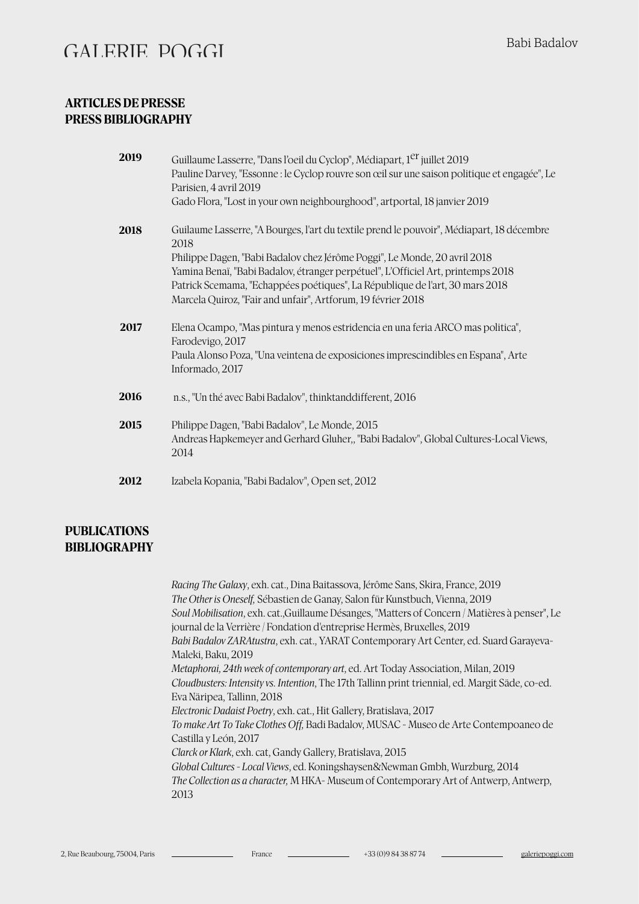#### **ARTICLES DE PRESSE PRESS BIBLIOGRAPHY**

| Guilaume Lasserre, "A Bourges, l'art du textile prend le pouvoir", Médiapart, 18 décembre |
|-------------------------------------------------------------------------------------------|
|                                                                                           |
|                                                                                           |
|                                                                                           |
|                                                                                           |
| Andreas Hapkemeyer and Gerhard Gluher,, "Babi Badalov", Global Cultures-Local Views,      |
|                                                                                           |
|                                                                                           |

#### **PUBLICATIONS BIBLIOGRAPHY**

*Racing The Galaxy*, exh. cat., Dina Baitassova, Jérôme Sans, Skira, France, 2019 *The Other is Oneself,* Sébastien de Ganay, Salon für Kunstbuch, Vienna, 2019 *Soul Mobilisation*, exh. cat.,Guillaume Désanges, "Maters of Concern / Matières à penser", Le journal de la Verrière / Fondation d'entreprise Hermès, Bruxelles, 2019 *Babi Badalov ZARAtustra*, exh. cat., YARAT Contemporary Art Center, ed. Suard Garayeva-Maleki, Baku, 2019 *Metaphorai, 24th week of contemporary art*, ed. Art Today Association, Milan, 2019 *Cloudbusters: Intensity vs. Intention*, The 17th Tallinn print triennial, ed. Margit Säde, co-ed. Eva Näripea, Tallinn, 2018 *Electronic Dadaist Poetry*, exh. cat., Hit Gallery, Bratislava, 2017 *To make Art To Take Clothes Off,* Badi Badalov, MUSAC - Museo de Arte Contempoaneo de Castilla y León, 2017 *Clarck or Klark*, exh. cat, Gandy Gallery, Bratislava, 2015 *Global Cultures - Local Views*, ed. Koningshaysen&Newman Gmbh, Wurzburg, 2014 *The Collection as a character,* M HKA- Museum of Contemporary Art of Antwerp, Antwerp, 2013